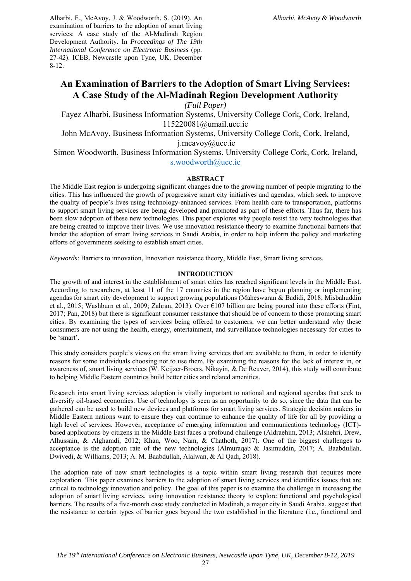Alharbi, F., McAvoy, J. & Woodworth, S. (2019). An examination of barriers to the adoption of smart living services: A case study of the Al-Madinah Region Development Authority. In *Proceedings of The 19th International Conference on Electronic Business* (pp. 27-42). ICEB, Newcastle upon Tyne, UK, December 8-12.

# **An Examination of Barriers to the Adoption of Smart Living Services: A Case Study of the Al-Madinah Region Development Authority**

*(Full Paper)* 

Fayez Alharbi, Business Information Systems, University College Cork, Cork, Ireland, 115220081@umail.ucc.ie

John McAvoy, Business Information Systems, University College Cork, Cork, Ireland,

j.mcavoy@ucc.ie

Simon Woodworth, Business Information Systems, University College Cork, Cork, Ireland, s.woodworth@ucc.ie

### **ABSTRACT**

The Middle East region is undergoing significant changes due to the growing number of people migrating to the cities. This has influenced the growth of progressive smart city initiatives and agendas, which seek to improve the quality of people's lives using technology-enhanced services. From health care to transportation, platforms to support smart living services are being developed and promoted as part of these efforts. Thus far, there has been slow adoption of these new technologies. This paper explores why people resist the very technologies that are being created to improve their lives. We use innovation resistance theory to examine functional barriers that hinder the adoption of smart living services in Saudi Arabia, in order to help inform the policy and marketing efforts of governments seeking to establish smart cities.

*Keywords*: Barriers to innovation, Innovation resistance theory, Middle East, Smart living services.

#### **INTRODUCTION**

The growth of and interest in the establishment of smart cities has reached significant levels in the Middle East. According to researchers, at least 11 of the 17 countries in the region have begun planning or implementing agendas for smart city development to support growing populations (Maheswaran & Badidi, 2018; Misbahuddin et al., 2015; Washburn et al., 2009; Zahran, 2013). Over €107 billion are being poured into these efforts (Fint, 2017; Pan, 2018) but there is significant consumer resistance that should be of concern to those promoting smart cities. By examining the types of services being offered to customers, we can better understand why these consumers are not using the health, energy, entertainment, and surveillance technologies necessary for cities to be 'smart'.

This study considers people's views on the smart living services that are available to them, in order to identify reasons for some individuals choosing not to use them. By examining the reasons for the lack of interest in, or awareness of, smart living services (W. Keijzer-Broers, Nikayin, & De Reuver, 2014), this study will contribute to helping Middle Eastern countries build better cities and related amenities.

Research into smart living services adoption is vitally important to national and regional agendas that seek to diversify oil-based economies. Use of technology is seen as an opportunity to do so, since the data that can be gathered can be used to build new devices and platforms for smart living services. Strategic decision makers in Middle Eastern nations want to ensure they can continue to enhance the quality of life for all by providing a high level of services. However, acceptance of emerging information and communications technology (ICT)based applications by citizens in the Middle East faces a profound challenge (Aldraehim, 2013; Alshehri, Drew, Alhussain, & Alghamdi, 2012; Khan, Woo, Nam, & Chathoth, 2017). One of the biggest challenges to acceptance is the adoption rate of the new technologies (Almuraqab & Jasimuddin, 2017; A. Baabdullah, Dwivedi, & Williams, 2013; A. M. Baabdullah, Alalwan, & Al Qadi, 2018).

The adoption rate of new smart technologies is a topic within smart living research that requires more exploration. This paper examines barriers to the adoption of smart living services and identifies issues that are critical to technology innovation and policy. The goal of this paper is to examine the challenge in increasing the adoption of smart living services, using innovation resistance theory to explore functional and psychological barriers. The results of a five-month case study conducted in Madinah, a major city in Saudi Arabia, suggest that the resistance to certain types of barrier goes beyond the two established in the literature (i.e., functional and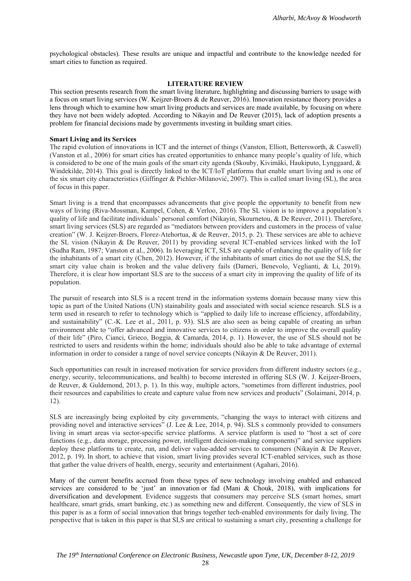psychological obstacles). These results are unique and impactful and contribute to the knowledge needed for smart cities to function as required.

## **LITERATURE REVIEW**

This section presents research from the smart living literature, highlighting and discussing barriers to usage with a focus on smart living services (W. Keijzer-Broers & de Reuver, 2016). Innovation resistance theory provides a lens through which to examine how smart living products and services are made available, by focusing on where they have not been widely adopted. According to Nikayin and De Reuver (2015), lack of adoption presents a problem for financial decisions made by governments investing in building smart cities.

#### **Smart Living and its Services**

The rapid evolution of innovations in ICT and the internet of things (Vanston, Elliott, Bettersworth, & Caswell) (Vanston et al., 2006) for smart cities has created opportunities to enhance many people's quality of life, which is considered to be one of the main goals of the smart city agenda (Skouby, Kivimäki, Haukiputo, Lynggaard, & Windekilde, 2014). This goal is directly linked to the ICT/IoT platforms that enable smart living and is one of the six smart city characteristics (Giffinger & Pichler-Milanović, 2007). This is called smart living (SL), the area of focus in this paper.

Smart living is a trend that encompasses advancements that give people the opportunity to benefit from new ways of living (Riva-Mossman, Kampel, Cohen, & Verloo, 2016). The SL vision is to improve a population's quality of life and facilitate individuals' personal comfort (Nikayin, Skournetou, & De Reuver, 2011). Therefore, smart living services (SLS) are regarded as "mediators between providers and customers in the process of value creation" (W. J. Keijzer-Broers, Florez-Atehortua, & de Reuver, 2015, p. 2). These services are able to achieve the SL vision (Nikayin & De Reuver, 2011) by providing several ICT-enabled services linked with the IoT (Sudha Ram, 1987; Vanston et al., 2006). In leveraging ICT, SLS are capable of enhancing the quality of life for the inhabitants of a smart city (Chen, 2012). However, if the inhabitants of smart cities do not use the SLS, the smart city value chain is broken and the value delivery fails (Dameri, Benevolo, Veglianti, & Li, 2019). Therefore, it is clear how important SLS are to the success of a smart city in improving the quality of life of its population.

The pursuit of research into SLS is a recent trend in the information systems domain because many view this topic as part of the United Nations (UN) stainability goals and associated with social science research. SLS is a term used in research to refer to technology which is "applied to daily life to increase efficiency, affordability, and sustainability" (C.-K. Lee et al., 2011, p. 93). SLS are also seen as being capable of creating an urban environment able to "offer advanced and innovative services to citizens in order to improve the overall quality of their life" (Piro, Cianci, Grieco, Boggia, & Camarda, 2014, p. 1). However, the use of SLS should not be restricted to users and residents within the home; individuals should also be able to take advantage of external information in order to consider a range of novel service concepts (Nikayin & De Reuver, 2011).

Such opportunities can result in increased motivation for service providers from different industry sectors (e.g., energy, security, telecommunications, and health) to become interested in offering SLS (W. J. Keijzer-Broers, de Reuver, & Guldemond, 2013, p. 1). In this way, multiple actors, "sometimes from different industries, pool their resources and capabilities to create and capture value from new services and products" (Solaimani, 2014, p. 12).

SLS are increasingly being exploited by city governments, "changing the ways to interact with citizens and providing novel and interactive services" (J. Lee & Lee, 2014, p. 94). SLS s commonly provided to consumers living in smart areas via sector-specific service platforms. A service platform is used to "host a set of core functions (e.g., data storage, processing power, intelligent decision-making components)" and service suppliers deploy these platforms to create, run, and deliver value-added services to consumers (Nikayin & De Reuver, 2012, p. 19). In short, to achieve that vision, smart living provides several ICT-enabled services, such as those that gather the value drivers of health, energy, security and entertainment (Agahari, 2016).

Many of the current benefits accrued from these types of new technology involving enabled and enhanced services are considered to be 'just' an innovation or fad (Mani & Chouk, 2018), with implications for diversification and development. Evidence suggests that consumers may perceive SLS (smart homes, smart healthcare, smart grids, smart banking, etc.) as something new and different. Consequently, the view of SLS in this paper is as a form of social innovation that brings together tech-enabled environments for daily living. The perspective that is taken in this paper is that SLS are critical to sustaining a smart city, presenting a challenge for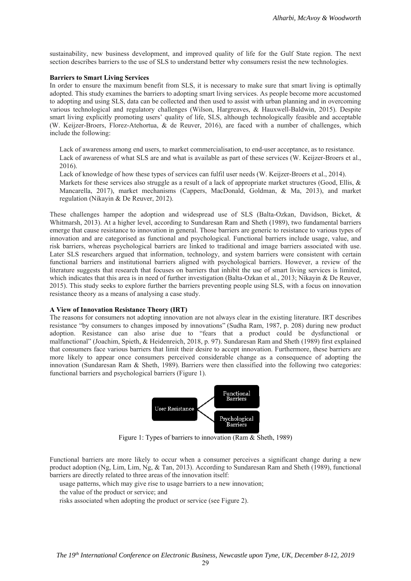sustainability, new business development, and improved quality of life for the Gulf State region. The next section describes barriers to the use of SLS to understand better why consumers resist the new technologies.

#### **Barriers to Smart Living Services**

In order to ensure the maximum benefit from SLS, it is necessary to make sure that smart living is optimally adopted. This study examines the barriers to adopting smart living services. As people become more accustomed to adopting and using SLS, data can be collected and then used to assist with urban planning and in overcoming various technological and regulatory challenges (Wilson, Hargreaves, & Hauxwell-Baldwin, 2015). Despite smart living explicitly promoting users' quality of life, SLS, although technologically feasible and acceptable (W. Keijzer-Broers, Florez-Atehortua, & de Reuver, 2016), are faced with a number of challenges, which include the following:

Lack of awareness among end users, to market commercialisation, to end-user acceptance, as to resistance. Lack of awareness of what SLS are and what is available as part of these services (W. Keijzer-Broers et al., 2016).

Lack of knowledge of how these types of services can fulfil user needs (W. Keijzer-Broers et al., 2014). Markets for these services also struggle as a result of a lack of appropriate market structures (Good, Ellis, & Mancarella, 2017), market mechanisms (Cappers, MacDonald, Goldman, & Ma, 2013), and market regulation (Nikayin & De Reuver, 2012).

These challenges hamper the adoption and widespread use of SLS (Balta-Ozkan, Davidson, Bicket, & Whitmarsh, 2013). At a higher level, according to Sundaresan Ram and Sheth (1989), two fundamental barriers emerge that cause resistance to innovation in general. Those barriers are generic to resistance to various types of innovation and are categorised as functional and psychological. Functional barriers include usage, value, and risk barriers, whereas psychological barriers are linked to traditional and image barriers associated with use. Later SLS researchers argued that information, technology, and system barriers were consistent with certain functional barriers and institutional barriers aligned with psychological barriers. However, a review of the literature suggests that research that focuses on barriers that inhibit the use of smart living services is limited, which indicates that this area is in need of further investigation (Balta-Ozkan et al., 2013; Nikayin & De Reuver, 2015). This study seeks to explore further the barriers preventing people using SLS, with a focus on innovation resistance theory as a means of analysing a case study.

#### **A View of Innovation Resistance Theory (IRT)**

The reasons for consumers not adopting innovation are not always clear in the existing literature. IRT describes resistance "by consumers to changes imposed by innovations" (Sudha Ram, 1987, p. 208) during new product adoption. Resistance can also arise due to "fears that a product could be dysfunctional or malfunctional" (Joachim, Spieth, & Heidenreich, 2018, p. 97). Sundaresan Ram and Sheth (1989) first explained that consumers face various barriers that limit their desire to accept innovation. Furthermore, these barriers are more likely to appear once consumers perceived considerable change as a consequence of adopting the innovation (Sundaresan Ram & Sheth, 1989). Barriers were then classified into the following two categories: functional barriers and psychological barriers (Figure 1).



Figure 1: Types of barriers to innovation (Ram & Sheth, 1989)

Functional barriers are more likely to occur when a consumer perceives a significant change during a new product adoption (Ng, Lim, Lim, Ng, & Tan, 2013). According to Sundaresan Ram and Sheth (1989), functional barriers are directly related to three areas of the innovation itself:

usage patterns, which may give rise to usage barriers to a new innovation;

the value of the product or service; and

risks associated when adopting the product or service (see Figure 2).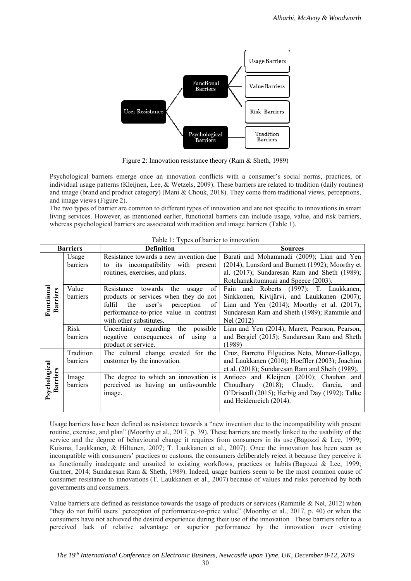

Figure 2: Innovation resistance theory (Ram & Sheth, 1989)

Psychological barriers emerge once an innovation conflicts with a consumer's social norms, practices, or individual usage patterns (Kleijnen, Lee, & Wetzels, 2009). These barriers are related to tradition (daily routines) and image (brand and product category) (Mani & Chouk, 2018). They come from traditional views, perceptions, and image views (Figure 2).

The two types of barrier are common to different types of innovation and are not specific to innovations in smart living services. However, as mentioned earlier, functional barriers can include usage, value, and risk barriers, whereas psychological barriers are associated with tradition and image barriers (Table 1).

|                                  | <b>Barriers</b> | <b>Definition</b>                                | <b>Sources</b>                                    |  |  |
|----------------------------------|-----------------|--------------------------------------------------|---------------------------------------------------|--|--|
|                                  | Usage           | Resistance towards a new invention due           | Barati and Mohammadi (2009); Lian and Yen         |  |  |
|                                  | barriers        | to its incompatibility with present              | (2014); Lunsford and Burnett (1992); Moorthy et   |  |  |
|                                  |                 | routines, exercises, and plans.                  | al. (2017); Sundaresan Ram and Sheth (1989);      |  |  |
|                                  |                 |                                                  | Rotchanakitumnuai and Speece (2003).              |  |  |
|                                  | Value           | towards<br>Resistance<br>the<br>of<br>usage      | Fain and Roberts (1997); T. Laukkanen,            |  |  |
| Functional<br><b>Barriers</b>    | barriers        | products or services when they do not            | Sinkkonen, Kivijärvi, and Laukkanen (2007);       |  |  |
|                                  |                 | fulfil the user's<br>perception<br><sup>of</sup> | Lian and Yen $(2014)$ ; Moorthy et al. $(2017)$ ; |  |  |
|                                  |                 | performance-to-price value in contrast           | Sundaresan Ram and Sheth (1989); Rammile and      |  |  |
|                                  |                 | with other substitutes.                          | Nel (2012)                                        |  |  |
|                                  | Risk            | Uncertainty regarding the<br>possible            | Lian and Yen (2014); Marett, Pearson, Pearson,    |  |  |
|                                  | barriers        | negative consequences of using a                 | and Bergiel (2015); Sundaresan Ram and Sheth      |  |  |
|                                  |                 | product or service.                              | (1989)                                            |  |  |
|                                  | Tradition       | The cultural change created for the              | Cruz, Barretto Filgueiras Neto, Munoz-Gallego,    |  |  |
|                                  | barriers        | customer by the innovation.                      | and Laukkanen (2010); Hoeffler (2003); Joachim    |  |  |
| Psychological<br><b>Barriers</b> |                 |                                                  | et al. (2018); Sundaresan Ram and Sheth (1989).   |  |  |
|                                  | Image           | The degree to which an innovation is             | Antioco and Kleijnen (2010); Chauhan and          |  |  |
|                                  | barriers        | perceived as having an unfavourable              | $(2018)$ ; Claudy, Garcia,<br>Choudhary<br>and    |  |  |
|                                  |                 | image.                                           | O'Driscoll (2015); Herbig and Day (1992); Talke   |  |  |
|                                  |                 |                                                  | and Heidenreich (2014).                           |  |  |
|                                  |                 |                                                  |                                                   |  |  |

Table 1: Types of barrier to innovation

Usage barriers have been defined as resistance towards a "new invention due to the incompatibility with present routine, exercise, and plan" (Moorthy et al., 2017, p. 39). These barriers are mostly linked to the usability of the service and the degree of behavioural change it requires from consumers in its use (Bagozzi & Lee, 1999; Kuisma, Laukkanen, & Hiltunen, 2007; T. Laukkanen et al., 2007). Once the innovation has been seen as incompatible with consumers' practices or customs, the consumers deliberately reject it because they perceive it as functionally inadequate and unsuited to existing workflows, practices or habits (Bagozzi & Lee, 1999; Gurtner, 2014; Sundaresan Ram & Sheth, 1989). Indeed, usage barriers seem to be the most common cause of consumer resistance to innovations (T. Laukkanen et al., 2007) because of values and risks perceived by both governments and consumers.

Value barriers are defined as resistance towards the usage of products or services (Rammile & Nel, 2012) when "they do not fulfil users' perception of performance-to-price value" (Moorthy et al., 2017, p. 40) or when the consumers have not achieved the desired experience during their use of the innovation . These barriers refer to a perceived lack of relative advantage or superior performance by the innovation over existing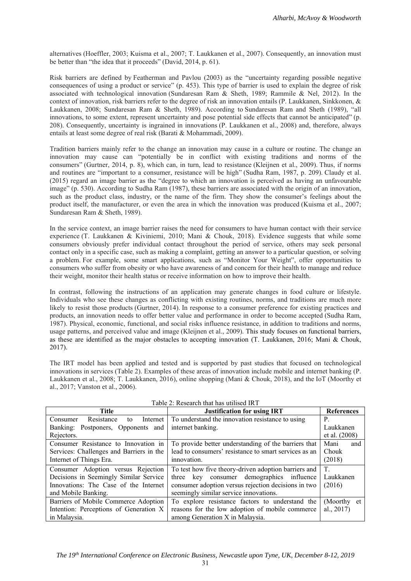alternatives (Hoeffler, 2003; Kuisma et al., 2007; T. Laukkanen et al., 2007). Consequently, an innovation must be better than "the idea that it proceeds" (David, 2014, p. 61).

Risk barriers are defined by Featherman and Pavlou (2003) as the "uncertainty regarding possible negative consequences of using a product or service" (p. 453). This type of barrier is used to explain the degree of risk associated with technological innovation (Sundaresan Ram & Sheth, 1989; Rammile & Nel, 2012). In the context of innovation, risk barriers refer to the degree of risk an innovation entails (P. Laukkanen, Sinkkonen, & Laukkanen, 2008; Sundaresan Ram & Sheth, 1989). According to Sundaresan Ram and Sheth (1989), "all innovations, to some extent, represent uncertainty and pose potential side effects that cannot be anticipated" (p. 208). Consequently, uncertainty is ingrained in innovations (P. Laukkanen et al., 2008) and, therefore, always entails at least some degree of real risk (Barati & Mohammadi, 2009).

Tradition barriers mainly refer to the change an innovation may cause in a culture or routine. The change an innovation may cause can "potentially be in conflict with existing traditions and norms of the consumers" (Gurtner, 2014, p. 8), which can, in turn, lead to resistance (Kleijnen et al., 2009). Thus, if norms and routines are "important to a consumer, resistance will be high" (Sudha Ram, 1987, p. 209). Claudy et al. (2015) regard an image barrier as the "degree to which an innovation is perceived as having an unfavourable image" (p. 530). According to Sudha Ram (1987), these barriers are associated with the origin of an innovation, such as the product class, industry, or the name of the firm. They show the consumer's feelings about the product itself, the manufacturer, or even the area in which the innovation was produced (Kuisma et al., 2007; Sundaresan Ram & Sheth, 1989).

In the service context, an image barrier raises the need for consumers to have human contact with their service experience (T. Laukkanen & Kiviniemi, 2010; Mani & Chouk, 2018). Evidence suggests that while some consumers obviously prefer individual contact throughout the period of service, others may seek personal contact only in a specific case, such as making a complaint, getting an answer to a particular question, or solving a problem. For example, some smart applications, such as "Monitor Your Weight", offer opportunities to consumers who suffer from obesity or who have awareness of and concern for their health to manage and reduce their weight, monitor their health status or receive information on how to improve their health.

In contrast, following the instructions of an application may generate changes in food culture or lifestyle. Individuals who see these changes as conflicting with existing routines, norms, and traditions are much more likely to resist those products (Gurtner, 2014). In response to a consumer preference for existing practices and products, an innovation needs to offer better value and performance in order to become accepted (Sudha Ram, 1987). Physical, economic, functional, and social risks influence resistance, in addition to traditions and norms, usage patterns, and perceived value and image (Kleijnen et al., 2009). This study focuses on functional barriers, as these are identified as the major obstacles to accepting innovation (T. Laukkanen, 2016; Mani & Chouk, 2017).

The IRT model has been applied and tested and is supported by past studies that focused on technological innovations in services (Table 2). Examples of these areas of innovation include mobile and internet banking (P. Laukkanen et al., 2008; T. Laukkanen, 2016), online shopping (Mani & Chouk, 2018), and the IoT (Moorthy et al., 2017; Vanston et al., 2006).

| <b>Title</b>                             | <b>Justification for using IRT</b>                    | <b>References</b> |
|------------------------------------------|-------------------------------------------------------|-------------------|
| Resistance<br>Internet<br>Consumer<br>to | To understand the innovation resistance to using      | P.                |
| Banking: Postponers, Opponents and       | internet banking.                                     | Laukkanen         |
| Rejectors.                               |                                                       | et al. (2008)     |
| Consumer Resistance to Innovation in     | To provide better understanding of the barriers that  | Mani<br>and       |
| Services: Challenges and Barriers in the | lead to consumers' resistance to smart services as an | Chouk             |
| Internet of Things Era.                  | innovation.                                           | (2018)            |
| Consumer Adoption versus Rejection       | To test how five theory-driven adoption barriers and  | $T_{\rm c}$       |
| Decisions in Seemingly Similar Service   | key consumer demographics influence<br>three          | Laukkanen         |
| Innovations: The Case of the Internet    | consumer adoption versus rejection decisions in two   | (2016)            |
| and Mobile Banking.                      | seemingly similar service innovations.                |                   |
| Barriers of Mobile Commerce Adoption     | To explore resistance factors to understand the       | (Moorthy et       |
| Intention: Perceptions of Generation X   | reasons for the low adoption of mobile commerce       | al., $2017$ )     |
| in Malaysia.                             | among Generation X in Malaysia.                       |                   |

Table 2: Research that has utilised IRT

31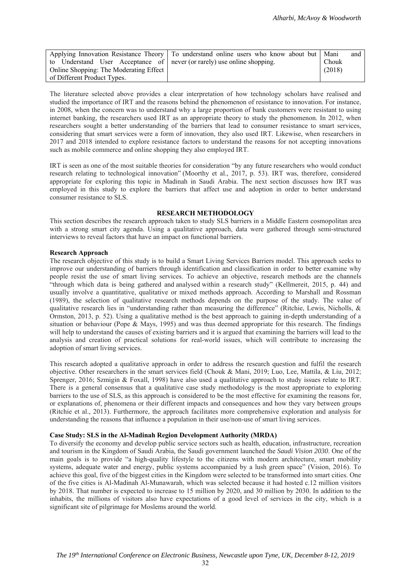|                                                                         | Applying Innovation Resistance Theory   To understand online users who know about but   Mani |        | and |
|-------------------------------------------------------------------------|----------------------------------------------------------------------------------------------|--------|-----|
| to Understand User Acceptance of never (or rarely) use online shopping. |                                                                                              | Chouk  |     |
| Online Shopping: The Moderating Effect                                  |                                                                                              | (2018) |     |
| of Different Product Types.                                             |                                                                                              |        |     |

The literature selected above provides a clear interpretation of how technology scholars have realised and studied the importance of IRT and the reasons behind the phenomenon of resistance to innovation. For instance, in 2008, when the concern was to understand why a large proportion of bank customers were resistant to using internet banking, the researchers used IRT as an appropriate theory to study the phenomenon. In 2012, when researchers sought a better understanding of the barriers that lead to consumer resistance to smart services, considering that smart services were a form of innovation, they also used IRT. Likewise, when researchers in 2017 and 2018 intended to explore resistance factors to understand the reasons for not accepting innovations such as mobile commerce and online shopping they also employed IRT.

IRT is seen as one of the most suitable theories for consideration "by any future researchers who would conduct research relating to technological innovation" (Moorthy et al., 2017, p. 53). IRT was, therefore, considered appropriate for exploring this topic in Madinah in Saudi Arabia. The next section discusses how IRT was employed in this study to explore the barriers that affect use and adoption in order to better understand consumer resistance to SLS.

### **RESEARCH METHODOLOGY**

This section describes the research approach taken to study SLS barriers in a Middle Eastern cosmopolitan area with a strong smart city agenda. Using a qualitative approach, data were gathered through semi-structured interviews to reveal factors that have an impact on functional barriers.

## **Research Approach**

The research objective of this study is to build a Smart Living Services Barriers model. This approach seeks to improve our understanding of barriers through identification and classification in order to better examine why people resist the use of smart living services. To achieve an objective, research methods are the channels "through which data is being gathered and analysed within a research study" (Kellmereit, 2015, p. 44) and usually involve a quantitative, qualitative or mixed methods approach. According to Marshall and Rossman (1989), the selection of qualitative research methods depends on the purpose of the study. The value of qualitative research lies in "understanding rather than measuring the difference" (Ritchie, Lewis, Nicholls, & Ormston, 2013, p. 52). Using a qualitative method is the best approach to gaining in-depth understanding of a situation or behaviour (Pope & Mays, 1995) and was thus deemed appropriate for this research. The findings will help to understand the causes of existing barriers and it is argued that examining the barriers will lead to the analysis and creation of practical solutions for real-world issues, which will contribute to increasing the adoption of smart living services.

This research adopted a qualitative approach in order to address the research question and fulfil the research objective. Other researchers in the smart services field (Chouk & Mani, 2019; Luo, Lee, Mattila, & Liu, 2012; Sprenger, 2016; Szmigin & Foxall, 1998) have also used a qualitative approach to study issues relate to IRT. There is a general consensus that a qualitative case study methodology is the most appropriate to exploring barriers to the use of SLS, as this approach is considered to be the most effective for examining the reasons for, or explanations of, phenomena or their different impacts and consequences and how they vary between groups (Ritchie et al., 2013). Furthermore, the approach facilitates more comprehensive exploration and analysis for understanding the reasons that influence a population in their use/non-use of smart living services.

## **Case Study: SLS in the Al-Madinah Region Development Authority (MRDA)**

To diversify the economy and develop public service sectors such as health, education, infrastructure, recreation and tourism in the Kingdom of Saudi Arabia, the Saudi government launched the *Saudi Vision 2030*. One of the main goals is to provide "a high-quality lifestyle to the citizens with modern architecture, smart mobility systems, adequate water and energy, public systems accompanied by a lush green space" (Vision, 2016). To achieve this goal, five of the biggest cities in the Kingdom were selected to be transformed into smart cities. One of the five cities is Al-Madinah Al-Munawarah, which was selected because it had hosted c.12 million visitors by 2018. That number is expected to increase to 15 million by 2020, and 30 million by 2030. In addition to the inhabits, the millions of visitors also have expectations of a good level of services in the city, which is a significant site of pilgrimage for Moslems around the world.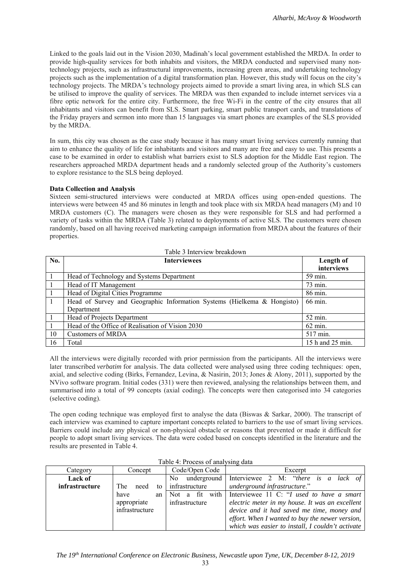Linked to the goals laid out in the Vision 2030, Madinah's local government established the MRDA. In order to provide high-quality services for both inhabits and visitors, the MRDA conducted and supervised many nontechnology projects, such as infrastructural improvements, increasing green areas, and undertaking technology projects such as the implementation of a digital transformation plan. However, this study will focus on the city's technology projects. The MRDA's technology projects aimed to provide a smart living area, in which SLS can be utilised to improve the quality of services. The MRDA was then expanded to include internet services via a fibre optic network for the entire city. Furthermore, the free Wi-Fi in the centre of the city ensures that all inhabitants and visitors can benefit from SLS. Smart parking, smart public transport cards, and translations of the Friday prayers and sermon into more than 15 languages via smart phones are examples of the SLS provided by the MRDA.

In sum, this city was chosen as the case study because it has many smart living services currently running that aim to enhance the quality of life for inhabitants and visitors and many are free and easy to use. This presents a case to be examined in order to establish what barriers exist to SLS adoption for the Middle East region. The researchers approached MRDA department heads and a randomly selected group of the Authority's customers to explore resistance to the SLS being deployed.

## **Data Collection and Analysis**

Sixteen semi-structured interviews were conducted at MRDA offices using open-ended questions. The interviews were between 45 and 86 minutes in length and took place with six MRDA head managers (M) and 10 MRDA customers (C). The managers were chosen as they were responsible for SLS and had performed a variety of tasks within the MRDA (Table 3) related to deployments of active SLS. The customers were chosen randomly, based on all having received marketing campaign information from MRDA about the features of their properties.

|                 | Table 3 Interview breakdown                                             |                  |  |  |  |  |  |
|-----------------|-------------------------------------------------------------------------|------------------|--|--|--|--|--|
| No.             | <b>Interviewees</b>                                                     | Length of        |  |  |  |  |  |
|                 |                                                                         | interviews       |  |  |  |  |  |
| $\vert$ 1       | Head of Technology and Systems Department                               | 59 min.          |  |  |  |  |  |
| $\vert$ 1       | Head of IT Management                                                   | 73 min.          |  |  |  |  |  |
| $\vert 1 \vert$ | Head of Digital Cities Programme                                        | 86 min.          |  |  |  |  |  |
| $\overline{1}$  | Head of Survey and Geographic Information Systems (Hielkema & Hongisto) | 66 min.          |  |  |  |  |  |
|                 | Department                                                              |                  |  |  |  |  |  |
| $\vert 1 \vert$ | Head of Projects Department                                             | 52 min.          |  |  |  |  |  |
| $\overline{1}$  | Head of the Office of Realisation of Vision 2030                        | 62 min.          |  |  |  |  |  |
| 10              | Customers of MRDA                                                       | 517 min.         |  |  |  |  |  |
| 16              | Total                                                                   | 15 h and 25 min. |  |  |  |  |  |

All the interviews were digitally recorded with prior permission from the participants. All the interviews were later transcribed *verbatim* for analysis. The data collected were analysed using three coding techniques: open, axial, and selective coding (Birks, Fernandez, Levina, & Nasirin, 2013; Jones & Alony, 2011), supported by the NVivo software program. Initial codes (331) were then reviewed, analysing the relationships between them, and summarised into a total of 99 concepts (axial coding). The concepts were then categorised into 34 categories (selective coding).

The open coding technique was employed first to analyse the data (Biswas & Sarkar, 2000). The transcript of each interview was examined to capture important concepts related to barriers to the use of smart living services. Barriers could include any physical or non-physical obstacle or reasons that prevented or made it difficult for people to adopt smart living services. The data were coded based on concepts identified in the literature and the results are presented in Table 4.

| Category              | Concept           | Code/Open Code | Excerpt                                                  |  |  |  |  |
|-----------------------|-------------------|----------------|----------------------------------------------------------|--|--|--|--|
| Lack of               |                   | N <sub>o</sub> | underground Interviewee 2 M: " <i>there</i> is a lack of |  |  |  |  |
| <i>infrastructure</i> | The<br>need<br>to | infrastructure | underground infrastructure."                             |  |  |  |  |
|                       | have<br>an        |                | Not a fit with Interviewee 11 C: "I used to have a smart |  |  |  |  |
|                       | appropriate       | infrastructure | electric meter in my house. It was an excellent          |  |  |  |  |
|                       | infrastructure    |                | device and it had saved me time, money and               |  |  |  |  |
|                       |                   |                | effort. When I wanted to buy the newer version,          |  |  |  |  |
|                       |                   |                | which was easier to install, I couldn't activate         |  |  |  |  |

Table 4: Process of analysing data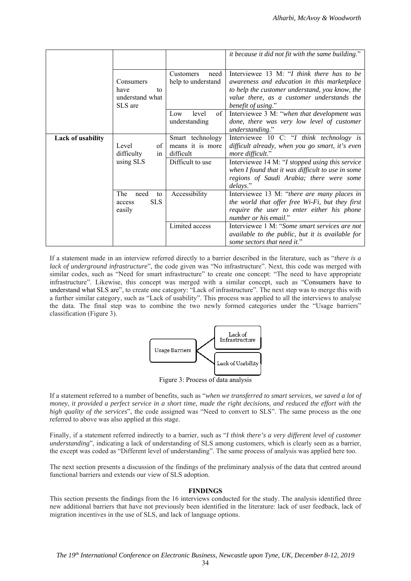|                          |                                                       |                                                   | it because it did not fit with the same building."                                                                                                                                                              |
|--------------------------|-------------------------------------------------------|---------------------------------------------------|-----------------------------------------------------------------------------------------------------------------------------------------------------------------------------------------------------------------|
|                          | Consumers<br>have<br>to<br>understand what<br>SLS are | Customers<br>need<br>help to understand           | Interviewee 13 M: "I think there has to be<br>awareness and education in this marketplace<br>to help the customer understand, you know, the<br>value there, as a customer understands the<br>benefit of using." |
|                          |                                                       | of<br>Low<br>level<br>understanding               | Interviewee 3 M: "when that development was<br>done, there was very low level of customer<br>understanding."                                                                                                    |
| <b>Lack of usability</b> | Level<br>of<br>difficulty<br>in                       | Smart technology<br>means it is more<br>difficult | Interviewee 10 C: "I think technology is<br>difficult already, when you go smart, it's even<br>more difficult."                                                                                                 |
|                          | using SLS                                             | Difficult to use                                  | Interviewee 14 M: "I stopped using this service<br>when I found that it was difficult to use in some<br>regions of Saudi Arabia; there were some<br>delays."                                                    |
|                          | The<br>need<br>to<br><b>SLS</b><br>access<br>easily   | Accessibility                                     | Interviewee 13 M: "there are many places in<br>the world that offer free Wi-Fi, but they first<br>require the user to enter either his phone<br>number or his email."                                           |
|                          |                                                       | Limited access                                    | Interviewee 1 M: "Some smart services are not<br>available to the public, but it is available for<br>some sectors that need it."                                                                                |

If a statement made in an interview referred directly to a barrier described in the literature, such as "*there is a lack of underground infrastructure*", the code given was "No infrastructure". Next, this code was merged with similar codes, such as "Need for smart infrastructure" to create one concept: "The need to have appropriate infrastructure". Likewise, this concept was merged with a similar concept, such as "Consumers have to understand what SLS are", to create one category: "Lack of infrastructure". The next step was to merge this with a further similar category, such as "Lack of usability". This process was applied to all the interviews to analyse the data. The final step was to combine the two newly formed categories under the "Usage barriers" classification (Figure 3).



Figure 3: Process of data analysis

If a statement referred to a number of benefits, such as "*when we transferred to smart services, we saved a lot of money, it provided a perfect service in a short time, made the right decisions, and reduced the effort with the high quality of the services*", the code assigned was "Need to convert to SLS". The same process as the one referred to above was also applied at this stage.

Finally, if a statement referred indirectly to a barrier, such as "*I think there's a very different level of customer understanding*", indicating a lack of understanding of SLS among customers, which is clearly seen as a barrier, the except was coded as "Different level of understanding". The same process of analysis was applied here too.

The next section presents a discussion of the findings of the preliminary analysis of the data that centred around functional barriers and extends our view of SLS adoption.

## **FINDINGS**

This section presents the findings from the 16 interviews conducted for the study. The analysis identified three new additional barriers that have not previously been identified in the literature: lack of user feedback, lack of migration incentives in the use of SLS, and lack of language options.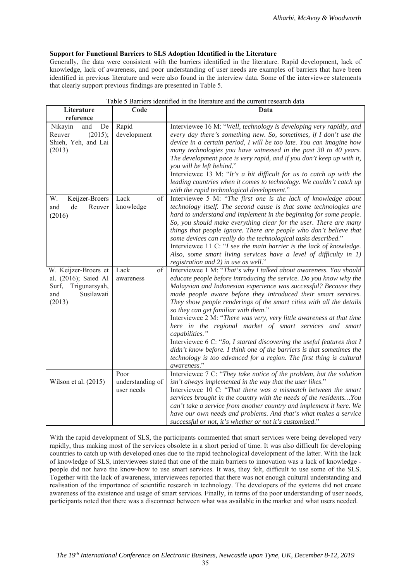# **Support for Functional Barriers to SLS Adoption Identified in the Literature**

Generally, the data were consistent with the barriers identified in the literature. Rapid development, lack of knowledge, lack of awareness, and poor understanding of user needs are examples of barriers that have been identified in previous literature and were also found in the interview data. Some of the interviewee statements that clearly support previous findings are presented in Table 5.

| Literature<br>reference                                                                               | Code                                   | Data                                                                                                                                                                                                                                                                                                                                                                                                                                                                                                                                                                                                                                                                                                                                                                                         |
|-------------------------------------------------------------------------------------------------------|----------------------------------------|----------------------------------------------------------------------------------------------------------------------------------------------------------------------------------------------------------------------------------------------------------------------------------------------------------------------------------------------------------------------------------------------------------------------------------------------------------------------------------------------------------------------------------------------------------------------------------------------------------------------------------------------------------------------------------------------------------------------------------------------------------------------------------------------|
| Nikayin<br>De<br>and<br>(2015);<br>Reuver<br>Shieh, Yeh, and Lai<br>(2013)                            | Rapid<br>development                   | Interviewee 16 M: "Well, technology is developing very rapidly, and<br>every day there's something new. So, sometimes, if I don't use the<br>device in a certain period, I will be too late. You can imagine how<br>many technologies you have witnessed in the past 30 to 40 years.<br>The development pace is very rapid, and if you don't keep up with it,<br>you will be left behind."<br>Interviewee 13 M: "It's a bit difficult for us to catch up with the<br>leading countries when it comes to technology. We couldn't catch up<br>with the rapid technological development."                                                                                                                                                                                                       |
| W.<br>Keijzer-Broers<br>Reuver<br>and<br>de<br>(2016)                                                 | Lack<br>of<br>knowledge                | Interviewee 5 M: "The first one is the lack of knowledge about<br>technology itself. The second cause is that some technologies are<br>hard to understand and implement in the beginning for some people.<br>So, you should make everything clear for the user. There are many<br>things that people ignore. There are people who don't believe that<br>some devices can really do the technological tasks described."<br>Interviewee 11 C: "I see the main barrier is the lack of knowledge.<br>Also, some smart living services have a level of difficulty in 1)<br>registration and 2) in use as well."                                                                                                                                                                                   |
| W. Keijzer-Broers et<br>al. (2016); Saied Al<br>Trigunarsyah,<br>Surf,<br>Susilawati<br>and<br>(2013) | Lack<br>of<br>awareness                | Interviewee 1 M: "That's why I talked about awareness. You should<br>educate people before introducing the service. Do you know why the<br>Malaysian and Indonesian experience was successful? Because they<br>made people aware before they introduced their smart services.<br>They show people renderings of the smart cities with all the details<br>so they can get familiar with them."<br>Interviewee 2 M: "There was very, very little awareness at that time<br>here in the regional market of smart services and smart<br>capabilities."<br>Interviewee 6 C: "So, I started discovering the useful features that I<br>didn't know before. I think one of the barriers is that sometimes the<br>technology is too advanced for a region. The first thing is cultural<br>awareness." |
| Wilson et al. (2015)                                                                                  | Poor<br>understanding of<br>user needs | Interviewee 7 C: "They take notice of the problem, but the solution<br>isn't always implemented in the way that the user likes."<br>Interviewee 10 C: "That there was a mismatch between the smart<br>services brought in the country with the needs of the residents You<br>can't take a service from another country and implement it here. We<br>have our own needs and problems. And that's what makes a service<br>successful or not, it's whether or not it's customised."                                                                                                                                                                                                                                                                                                             |

|  | Table 5 Barriers identified in the literature and the current research data |  |  |  |  |  |  |  |
|--|-----------------------------------------------------------------------------|--|--|--|--|--|--|--|
|--|-----------------------------------------------------------------------------|--|--|--|--|--|--|--|

With the rapid development of SLS, the participants commented that smart services were being developed very rapidly, thus making most of the services obsolete in a short period of time. It was also difficult for developing countries to catch up with developed ones due to the rapid technological development of the latter. With the lack of knowledge of SLS, interviewees stated that one of the main barriers to innovation was a lack of knowledge people did not have the know-how to use smart services. It was, they felt, difficult to use some of the SLS. Together with the lack of awareness, interviewees reported that there was not enough cultural understanding and realisation of the importance of scientific research in technology. The developers of the systems did not create awareness of the existence and usage of smart services. Finally, in terms of the poor understanding of user needs, participants noted that there was a disconnect between what was available in the market and what users needed.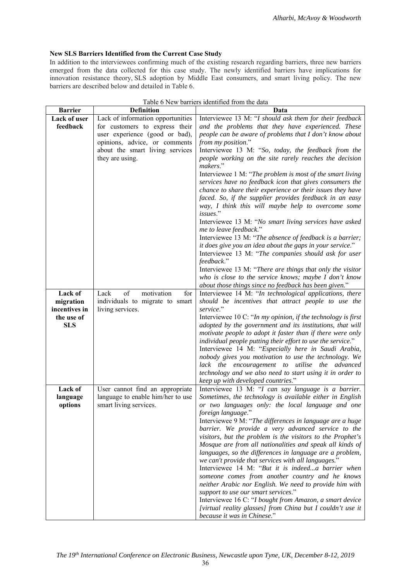# **New SLS Barriers Identified from the Current Case Study**

In addition to the interviewees confirming much of the existing research regarding barriers, three new barriers emerged from the data collected for this case study. The newly identified barriers have implications for innovation resistance theory, SLS adoption by Middle East consumers, and smart living policy. The new barriers are described below and detailed in Table 6.

| <b>Barrier</b> | <b>Definition</b>                 | Data                                                                                                         |
|----------------|-----------------------------------|--------------------------------------------------------------------------------------------------------------|
| Lack of user   | Lack of information opportunities | Interviewee 13 M: "I should ask them for their feedback                                                      |
| feedback       | for customers to express their    | and the problems that they have experienced. These                                                           |
|                | user experience (good or bad),    | people can be aware of problems that I don't know about                                                      |
|                | opinions, advice, or comments     | from my position."                                                                                           |
|                | about the smart living services   | Interviewee 13 M: "So, today, the feedback from the                                                          |
|                | they are using.                   | people working on the site rarely reaches the decision                                                       |
|                |                                   | makers."                                                                                                     |
|                |                                   | Interviewee 1 M: "The problem is most of the smart living                                                    |
|                |                                   | services have no feedback icon that gives consumers the                                                      |
|                |                                   | chance to share their experience or their issues they have                                                   |
|                |                                   | faced. So, if the supplier provides feedback in an easy                                                      |
|                |                                   | way, I think this will maybe help to overcome some                                                           |
|                |                                   | issues."                                                                                                     |
|                |                                   | Interviewee 13 M: "No smart living services have asked                                                       |
|                |                                   | me to leave feedback."                                                                                       |
|                |                                   | Interviewee 13 M: "The absence of feedback is a barrier;                                                     |
|                |                                   | it does give you an idea about the gaps in your service."                                                    |
|                |                                   | Interviewee 13 M: "The companies should ask for user                                                         |
|                |                                   | feedback."                                                                                                   |
|                |                                   | Interviewee 13 M: "There are things that only the visitor                                                    |
|                |                                   | who is close to the service knows; maybe I don't know                                                        |
|                |                                   | about those things since no feedback has been given."                                                        |
| Lack of        | Lack<br>of<br>motivation<br>for   | Interviewee 14 M: "In technological applications, there                                                      |
| migration      | individuals to migrate to smart   | should be incentives that attract people to use the                                                          |
| incentives in  | living services.                  | service."                                                                                                    |
| the use of     |                                   | Interviewee 10 C: "In my opinion, if the technology is first                                                 |
| <b>SLS</b>     |                                   | adopted by the government and its institutions, that will                                                    |
|                |                                   | motivate people to adopt it faster than if there were only                                                   |
|                |                                   | individual people putting their effort to use the service."                                                  |
|                |                                   | Interviewee 14 M: "Especially here in Saudi Arabia,<br>nobody gives you motivation to use the technology. We |
|                |                                   | lack the encouragement to utilise the advanced                                                               |
|                |                                   | technology and we also need to start using it in order to                                                    |
|                |                                   | keep up with developed countries."                                                                           |
| Lack of        | User cannot find an appropriate   | Interviewee 13 M: "I can say language is a barrier.                                                          |
| language       | language to enable him/her to use | Sometimes, the technology is available either in English                                                     |
| options        | smart living services.            | or two languages only: the local language and one                                                            |
|                |                                   | foreign language."                                                                                           |
|                |                                   | Interviewee 9 M: "The differences in language are a huge                                                     |
|                |                                   | barrier. We provide a very advanced service to the                                                           |
|                |                                   | visitors, but the problem is the visitors to the Prophet's                                                   |
|                |                                   | Mosque are from all nationalities and speak all kinds of                                                     |
|                |                                   | languages, so the differences in language are a problem,                                                     |
|                |                                   | we can't provide that services with all languages."                                                          |
|                |                                   | Interviewee 14 M: "But it is indeeda barrier when                                                            |
|                |                                   | someone comes from another country and he knows                                                              |
|                |                                   | neither Arabic nor English. We need to provide him with                                                      |
|                |                                   | support to use our smart services."                                                                          |
|                |                                   | Interviewee 16 C: "I bought from Amazon, a smart device                                                      |
|                |                                   | [virtual reality glasses] from China but I couldn't use it                                                   |
|                |                                   | because it was in Chinese."                                                                                  |

| Table 6 New barriers identified from the data |  |  |  |
|-----------------------------------------------|--|--|--|
|                                               |  |  |  |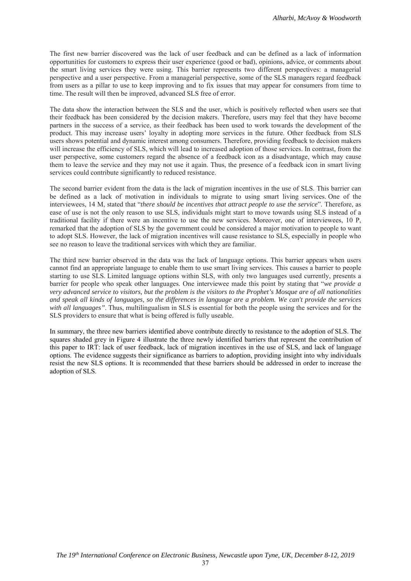The first new barrier discovered was the lack of user feedback and can be defined as a lack of information opportunities for customers to express their user experience (good or bad), opinions, advice, or comments about the smart living services they were using. This barrier represents two different perspectives: a managerial perspective and a user perspective. From a managerial perspective, some of the SLS managers regard feedback from users as a pillar to use to keep improving and to fix issues that may appear for consumers from time to time. The result will then be improved, advanced SLS free of error.

The data show the interaction between the SLS and the user, which is positively reflected when users see that their feedback has been considered by the decision makers. Therefore, users may feel that they have become partners in the success of a service, as their feedback has been used to work towards the development of the product. This may increase users' loyalty in adopting more services in the future. Other feedback from SLS users shows potential and dynamic interest among consumers. Therefore, providing feedback to decision makers will increase the efficiency of SLS, which will lead to increased adoption of those services. In contrast, from the user perspective, some customers regard the absence of a feedback icon as a disadvantage, which may cause them to leave the service and they may not use it again. Thus, the presence of a feedback icon in smart living services could contribute significantly to reduced resistance.

The second barrier evident from the data is the lack of migration incentives in the use of SLS. This barrier can be defined as a lack of motivation in individuals to migrate to using smart living services. One of the interviewees, 14 M, stated that "*there should be incentives that attract people to use the service*". Therefore, as ease of use is not the only reason to use SLS, individuals might start to move towards using SLS instead of a traditional facility if there were an incentive to use the new services. Moreover, one of interviewees, 10 P, remarked that the adoption of SLS by the government could be considered a major motivation to people to want to adopt SLS. However, the lack of migration incentives will cause resistance to SLS, especially in people who see no reason to leave the traditional services with which they are familiar.

The third new barrier observed in the data was the lack of language options. This barrier appears when users cannot find an appropriate language to enable them to use smart living services. This causes a barrier to people starting to use SLS. Limited language options within SLS, with only two languages used currently, presents a barrier for people who speak other languages. One interviewee made this point by stating that "*we provide a very advanced service to visitors, but the problem is the visitors to the Prophet's Mosque are of all nationalities and speak all kinds of languages, so the differences in language are a problem. We can't provide the services with all languages"*. Thus, multilingualism in SLS is essential for both the people using the services and for the SLS providers to ensure that what is being offered is fully useable.

In summary, the three new barriers identified above contribute directly to resistance to the adoption of SLS. The squares shaded grey in Figure 4 illustrate the three newly identified barriers that represent the contribution of this paper to IRT: lack of user feedback, lack of migration incentives in the use of SLS, and lack of language options. The evidence suggests their significance as barriers to adoption, providing insight into why individuals resist the new SLS options. It is recommended that these barriers should be addressed in order to increase the adoption of SLS.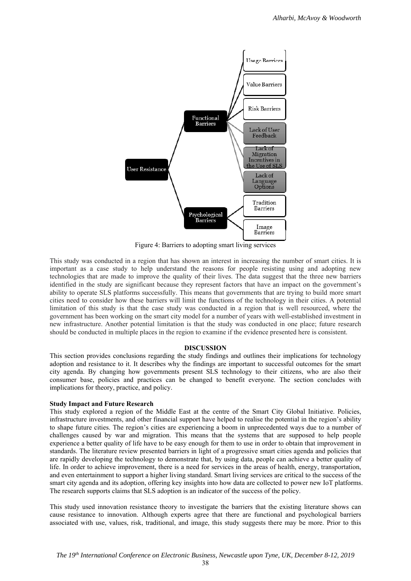

Figure 4: Barriers to adopting smart living services

This study was conducted in a region that has shown an interest in increasing the number of smart cities. It is important as a case study to help understand the reasons for people resisting using and adopting new technologies that are made to improve the quality of their lives. The data suggest that the three new barriers identified in the study are significant because they represent factors that have an impact on the government's ability to operate SLS platforms successfully. This means that governments that are trying to build more smart cities need to consider how these barriers will limit the functions of the technology in their cities. A potential limitation of this study is that the case study was conducted in a region that is well resourced, where the government has been working on the smart city model for a number of years with well-established investment in new infrastructure. Another potential limitation is that the study was conducted in one place; future research should be conducted in multiple places in the region to examine if the evidence presented here is consistent.

#### **DISCUSSION**

This section provides conclusions regarding the study findings and outlines their implications for technology adoption and resistance to it. It describes why the findings are important to successful outcomes for the smart city agenda. By changing how governments present SLS technology to their citizens, who are also their consumer base, policies and practices can be changed to benefit everyone. The section concludes with implications for theory, practice, and policy.

#### **Study Impact and Future Research**

This study explored a region of the Middle East at the centre of the Smart City Global Initiative. Policies, infrastructure investments, and other financial support have helped to realise the potential in the region's ability to shape future cities. The region's cities are experiencing a boom in unprecedented ways due to a number of challenges caused by war and migration. This means that the systems that are supposed to help people experience a better quality of life have to be easy enough for them to use in order to obtain that improvement in standards. The literature review presented barriers in light of a progressive smart cities agenda and policies that are rapidly developing the technology to demonstrate that, by using data, people can achieve a better quality of life. In order to achieve improvement, there is a need for services in the areas of health, energy, transportation, and even entertainment to support a higher living standard. Smart living services are critical to the success of the smart city agenda and its adoption, offering key insights into how data are collected to power new IoT platforms. The research supports claims that SLS adoption is an indicator of the success of the policy.

This study used innovation resistance theory to investigate the barriers that the existing literature shows can cause resistance to innovation. Although experts agree that there are functional and psychological barriers associated with use, values, risk, traditional, and image, this study suggests there may be more. Prior to this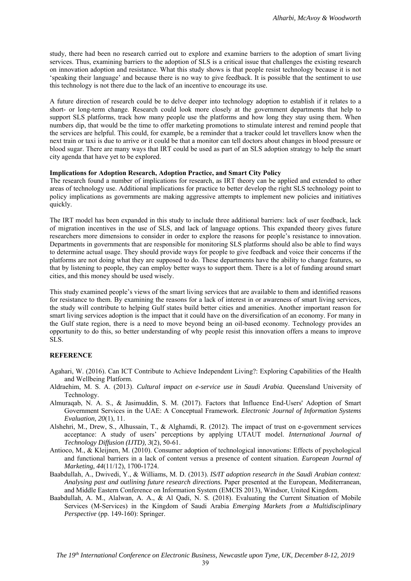study, there had been no research carried out to explore and examine barriers to the adoption of smart living services. Thus, examining barriers to the adoption of SLS is a critical issue that challenges the existing research on innovation adoption and resistance. What this study shows is that people resist technology because it is not 'speaking their language' and because there is no way to give feedback. It is possible that the sentiment to use this technology is not there due to the lack of an incentive to encourage its use.

A future direction of research could be to delve deeper into technology adoption to establish if it relates to a short- or long-term change. Research could look more closely at the government departments that help to support SLS platforms, track how many people use the platforms and how long they stay using them. When numbers dip, that would be the time to offer marketing promotions to stimulate interest and remind people that the services are helpful. This could, for example, be a reminder that a tracker could let travellers know when the next train or taxi is due to arrive or it could be that a monitor can tell doctors about changes in blood pressure or blood sugar. There are many ways that IRT could be used as part of an SLS adoption strategy to help the smart city agenda that have yet to be explored.

### **Implications for Adoption Research, Adoption Practice, and Smart City Policy**

The research found a number of implications for research, as IRT theory can be applied and extended to other areas of technology use. Additional implications for practice to better develop the right SLS technology point to policy implications as governments are making aggressive attempts to implement new policies and initiatives quickly.

The IRT model has been expanded in this study to include three additional barriers: lack of user feedback, lack of migration incentives in the use of SLS, and lack of language options. This expanded theory gives future researchers more dimensions to consider in order to explore the reasons for people's resistance to innovation. Departments in governments that are responsible for monitoring SLS platforms should also be able to find ways to determine actual usage. They should provide ways for people to give feedback and voice their concerns if the platforms are not doing what they are supposed to do. These departments have the ability to change features, so that by listening to people, they can employ better ways to support them. There is a lot of funding around smart cities, and this money should be used wisely.

This study examined people's views of the smart living services that are available to them and identified reasons for resistance to them. By examining the reasons for a lack of interest in or awareness of smart living services, the study will contribute to helping Gulf states build better cities and amenities. Another important reason for smart living services adoption is the impact that it could have on the diversification of an economy. For many in the Gulf state region, there is a need to move beyond being an oil-based economy. Technology provides an opportunity to do this, so better understanding of why people resist this innovation offers a means to improve SLS.

## **REFERENCE**

- Agahari, W. (2016). Can ICT Contribute to Achieve Independent Living?: Exploring Capabilities of the Health and Wellbeing Platform.
- Aldraehim, M. S. A. (2013). *Cultural impact on e-service use in Saudi Arabia.* Queensland University of Technology.
- Almuraqab, N. A. S., & Jasimuddin, S. M. (2017). Factors that Influence End-Users' Adoption of Smart Government Services in the UAE: A Conceptual Framework. *Electronic Journal of Information Systems Evaluation, 20*(1), 11.
- Alshehri, M., Drew, S., Alhussain, T., & Alghamdi, R. (2012). The impact of trust on e-government services acceptance: A study of users' perceptions by applying UTAUT model. *International Journal of Technology Diffusion (IJTD), 3*(2), 50-61.
- Antioco, M., & Kleijnen, M. (2010). Consumer adoption of technological innovations: Effects of psychological and functional barriers in a lack of content versus a presence of content situation. *European Journal of Marketing, 44*(11/12), 1700-1724.
- Baabdullah, A., Dwivedi, Y., & Williams, M. D. (2013). *IS/IT adoption research in the Saudi Arabian context: Analysing past and outlining future research directions.* Paper presented at the European, Mediterranean, and Middle Eastern Conference on Information System (EMCIS 2013), Windsor, United Kingdom.
- Baabdullah, A. M., Alalwan, A. A., & Al Qadi, N. S. (2018). Evaluating the Current Situation of Mobile Services (M-Services) in the Kingdom of Saudi Arabia *Emerging Markets from a Multidisciplinary Perspective* (pp. 149-160): Springer.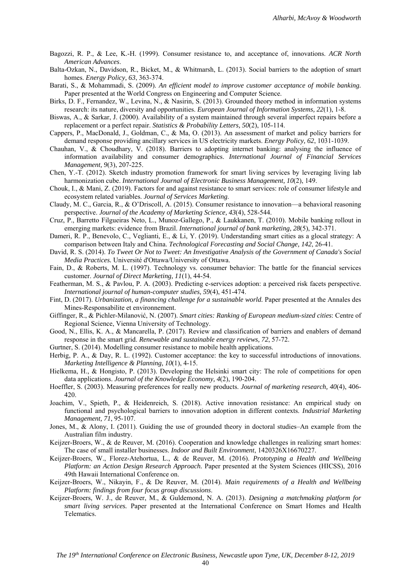- Bagozzi, R. P., & Lee, K.-H. (1999). Consumer resistance to, and acceptance of, innovations. *ACR North American Advances*.
- Balta-Ozkan, N., Davidson, R., Bicket, M., & Whitmarsh, L. (2013). Social barriers to the adoption of smart homes. *Energy Policy, 63*, 363-374.
- Barati, S., & Mohammadi, S. (2009). *An efficient model to improve customer acceptance of mobile banking.* Paper presented at the World Congress on Engineering and Computer Science.
- Birks, D. F., Fernandez, W., Levina, N., & Nasirin, S. (2013). Grounded theory method in information systems research: its nature, diversity and opportunities. *European Journal of Information Systems, 22*(1), 1-8.
- Biswas, A., & Sarkar, J. (2000). Availability of a system maintained through several imperfect repairs before a replacement or a perfect repair. *Statistics & Probability Letters, 50*(2), 105-114.
- Cappers, P., MacDonald, J., Goldman, C., & Ma, O. (2013). An assessment of market and policy barriers for demand response providing ancillary services in US electricity markets. *Energy Policy, 62*, 1031-1039.
- Chauhan, V., & Choudhary, V. (2018). Barriers to adopting internet banking: analysing the influence of information availability and consumer demographics. *International Journal of Financial Services Management, 9*(3), 207-225.
- Chen, Y.-T. (2012). Sketch industry promotion framework for smart living services by leveraging living lab harmonization cube. *International Journal of Electronic Business Management, 10*(2), 149.
- Chouk, I., & Mani, Z. (2019). Factors for and against resistance to smart services: role of consumer lifestyle and ecosystem related variables. *Journal of Services Marketing*.
- Claudy, M. C., Garcia, R., & O'Driscoll, A. (2015). Consumer resistance to innovation—a behavioral reasoning perspective. *Journal of the Academy of Marketing Science, 43*(4), 528-544.
- Cruz, P., Barretto Filgueiras Neto, L., Munoz-Gallego, P., & Laukkanen, T. (2010). Mobile banking rollout in emerging markets: evidence from Brazil. *International journal of bank marketing, 28*(5), 342-371.
- Dameri, R. P., Benevolo, C., Veglianti, E., & Li, Y. (2019). Understanding smart cities as a glocal strategy: A comparison between Italy and China. *Technological Forecasting and Social Change, 142*, 26-41.
- David, R. S. (2014). *To Tweet Or Not to Tweet: An Investigative Analysis of the Government of Canada's Social Media Practices.* Université d'Ottawa/University of Ottawa.
- Fain, D., & Roberts, M. L. (1997). Technology vs. consumer behavior: The battle for the financial services customer. *Journal of Direct Marketing, 11*(1), 44-54.
- Featherman, M. S., & Pavlou, P. A. (2003). Predicting e-services adoption: a perceived risk facets perspective. *International journal of human-computer studies, 59*(4), 451-474.
- Fint, D. (2017). *Urbanization, a financing challenge for a sustainable world.* Paper presented at the Annales des Mines-Responsabilite et environnement.
- Giffinger, R., & Pichler-Milanović, N. (2007). *Smart cities: Ranking of European medium-sized cities*: Centre of Regional Science, Vienna University of Technology.
- Good, N., Ellis, K. A., & Mancarella, P. (2017). Review and classification of barriers and enablers of demand response in the smart grid. *Renewable and sustainable energy reviews, 72*, 57-72.
- Gurtner, S. (2014). Modelling consumer resistance to mobile health applications.
- Herbig, P. A., & Day, R. L. (1992). Customer acceptance: the key to successful introductions of innovations. *Marketing Intelligence & Planning, 10*(1), 4-15.
- Hielkema, H., & Hongisto, P. (2013). Developing the Helsinki smart city: The role of competitions for open data applications. *Journal of the Knowledge Economy, 4*(2), 190-204.
- Hoeffler, S. (2003). Measuring preferences for really new products. *Journal of marketing research, 40*(4), 406- 420.
- Joachim, V., Spieth, P., & Heidenreich, S. (2018). Active innovation resistance: An empirical study on functional and psychological barriers to innovation adoption in different contexts. *Industrial Marketing Management, 71*, 95-107.
- Jones, M., & Alony, I. (2011). Guiding the use of grounded theory in doctoral studies–An example from the Australian film industry.
- Keijzer-Broers, W., & de Reuver, M. (2016). Cooperation and knowledge challenges in realizing smart homes: The case of small installer businesses. *Indoor and Built Environment*, 1420326X16670227.
- Keijzer-Broers, W., Florez-Atehortua, L., & de Reuver, M. (2016). *Prototyping a Health and Wellbeing Platform: an Action Design Research Approach.* Paper presented at the System Sciences (HICSS), 2016 49th Hawaii International Conference on.
- Keijzer-Broers, W., Nikayin, F., & De Reuver, M. (2014). *Main requirements of a Health and Wellbeing Platform: findings from four focus group discussions*.
- Keijzer-Broers, W. J., de Reuver, M., & Guldemond, N. A. (2013). *Designing a matchmaking platform for smart living services.* Paper presented at the International Conference on Smart Homes and Health Telematics.

40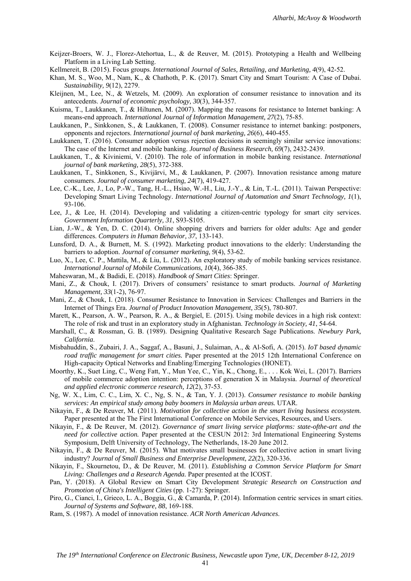- Keijzer-Broers, W. J., Florez-Atehortua, L., & de Reuver, M. (2015). Prototyping a Health and Wellbeing Platform in a Living Lab Setting.
- Kellmereit, B. (2015). Focus groups. *International Journal of Sales, Retailing, and Marketing, 4*(9), 42-52.
- Khan, M. S., Woo, M., Nam, K., & Chathoth, P. K. (2017). Smart City and Smart Tourism: A Case of Dubai. *Sustainability, 9*(12), 2279.
- Kleijnen, M., Lee, N., & Wetzels, M. (2009). An exploration of consumer resistance to innovation and its antecedents. *Journal of economic psychology, 30*(3), 344-357.
- Kuisma, T., Laukkanen, T., & Hiltunen, M. (2007). Mapping the reasons for resistance to Internet banking: A means-end approach. *International Journal of Information Management, 27*(2), 75-85.
- Laukkanen, P., Sinkkonen, S., & Laukkanen, T. (2008). Consumer resistance to internet banking: postponers, opponents and rejectors. *International journal of bank marketing, 26*(6), 440-455.
- Laukkanen, T. (2016). Consumer adoption versus rejection decisions in seemingly similar service innovations: The case of the Internet and mobile banking. *Journal of Business Research, 69*(7), 2432-2439.
- Laukkanen, T., & Kiviniemi, V. (2010). The role of information in mobile banking resistance. *International journal of bank marketing, 28*(5), 372-388.
- Laukkanen, T., Sinkkonen, S., Kivijärvi, M., & Laukkanen, P. (2007). Innovation resistance among mature consumers. *Journal of consumer marketing, 24*(7), 419-427.
- Lee, C.-K., Lee, J., Lo, P.-W., Tang, H.-L., Hsiao, W.-H., Liu, J.-Y., & Lin, T.-L. (2011). Taiwan Perspective: Developing Smart Living Technology. *International Journal of Automation and Smart Technology, 1*(1), 93-106.
- Lee, J., & Lee, H. (2014). Developing and validating a citizen-centric typology for smart city services. *Government Information Quarterly, 31*, S93-S105.
- Lian, J.-W., & Yen, D. C. (2014). Online shopping drivers and barriers for older adults: Age and gender differences. *Computers in Human Behavior, 37*, 133-143.
- Lunsford, D. A., & Burnett, M. S. (1992). Marketing product innovations to the elderly: Understanding the barriers to adoption. *Journal of consumer marketing, 9*(4), 53-62.
- Luo, X., Lee, C. P., Mattila, M., & Liu, L. (2012). An exploratory study of mobile banking services resistance. *International Journal of Mobile Communications, 10*(4), 366-385.
- Maheswaran, M., & Badidi, E. (2018). *Handbook of Smart Cities*: Springer.
- Mani, Z., & Chouk, I. (2017). Drivers of consumers' resistance to smart products. *Journal of Marketing Management, 33*(1-2), 76-97.
- Mani, Z., & Chouk, I. (2018). Consumer Resistance to Innovation in Services: Challenges and Barriers in the Internet of Things Era. *Journal of Product Innovation Management, 35*(5), 780-807.
- Marett, K., Pearson, A. W., Pearson, R. A., & Bergiel, E. (2015). Using mobile devices in a high risk context: The role of risk and trust in an exploratory study in Afghanistan. *Technology in Society, 41*, 54-64.
- Marshall, C., & Rossman, G. B. (1989). Designing Qualitative Research Sage Publications. *Newbury Park, California*.
- Misbahuddin, S., Zubairi, J. A., Saggaf, A., Basuni, J., Sulaiman, A., & Al-Sofi, A. (2015). *IoT based dynamic road traffic management for smart cities.* Paper presented at the 2015 12th International Conference on High-capacity Optical Networks and Enabling/Emerging Technologies (HONET).
- Moorthy, K., Suet Ling, C., Weng Fatt, Y., Mun Yee, C., Yin, K., Chong, E., . . . Kok Wei, L. (2017). Barriers of mobile commerce adoption intention: perceptions of generation X in Malaysia. *Journal of theoretical and applied electronic commerce research, 12*(2), 37-53.
- Ng, W. X., Lim, C. C., Lim, X. C., Ng, S. N., & Tan, Y. J. (2013). *Consumer resistance to mobile banking services: An empirical study among baby boomers in Malaysia urban areas.* UTAR.
- Nikayin, F., & De Reuver, M. (2011). *Motivation for collective action in the smart living business ecosystem.* Paper presented at the The First International Conference on Mobile Services, Resources, and Users.
- Nikayin, F., & De Reuver, M. (2012). *Governance of smart living service platforms: state-ofthe-art and the need for collective action.* Paper presented at the CESUN 2012: 3rd International Engineering Systems Symposium, Delft University of Technology, The Netherlands, 18-20 June 2012.
- Nikayin, F., & De Reuver, M. (2015). What motivates small businesses for collective action in smart living industry? *Journal of Small Business and Enterprise Development, 22*(2), 320-336.
- Nikayin, F., Skournetou, D., & De Reuver, M. (2011). *Establishing a Common Service Platform for Smart Living: Challenges and a Research Agenda.* Paper presented at the ICOST.
- Pan, Y. (2018). A Global Review on Smart City Development *Strategic Research on Construction and Promotion of China's Intelligent Cities* (pp. 1-27): Springer.
- Piro, G., Cianci, I., Grieco, L. A., Boggia, G., & Camarda, P. (2014). Information centric services in smart cities. *Journal of Systems and Software, 88*, 169-188.
- Ram, S. (1987). A model of innovation resistance. *ACR North American Advances*.

41